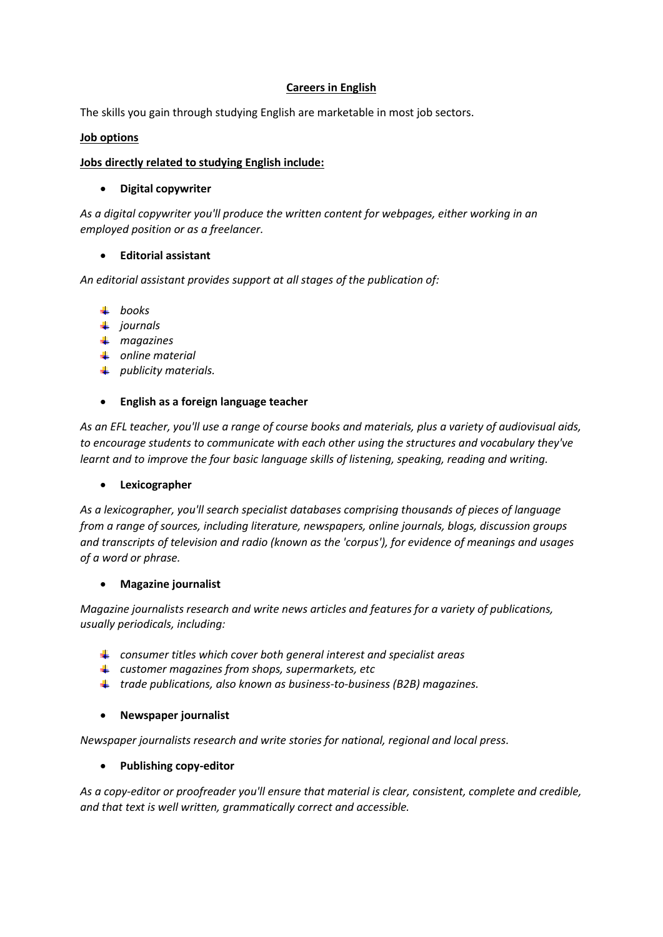### **Careers in English**

The skills you gain through studying English are marketable in most job sectors.

#### **Job options**

### **Jobs directly related to studying English include:**

### **Digital copywriter**

*As a digital copywriter you'll produce the written content for webpages, either working in an employed position or as a freelancer.*

# **Editorial assistant**

*An editorial assistant provides support at all stages of the publication of:*

- *books*
- *journals*
- *magazines*
- *online material*
- *publicity materials.*

### **English as a foreign language teacher**

*As an EFL teacher, you'll use a range of course books and materials, plus a variety of audiovisual aids, to encourage students to communicate with each other using the structures and vocabulary they've learnt and to improve the four basic language skills of listening, speaking, reading and writing.*

#### **Lexicographer**

*As a lexicographer, you'll search specialist databases comprising thousands of pieces of language from a range of sources, including literature, newspapers, online journals, blogs, discussion groups and transcripts of television and radio (known as the 'corpus'), for evidence of meanings and usages of a word or phrase.*

#### **Magazine journalist**

*Magazine journalists research and write news articles and features for a variety of publications, usually periodicals, including:*

- *consumer titles which cover both general interest and specialist areas*
- *customer magazines from shops, supermarkets, etc*
- *trade publications, also known as business-to-business (B2B) magazines.*

#### **Newspaper journalist**

*Newspaper journalists research and write stories for national, regional and local press.*

#### **Publishing copy-editor**

*As a copy-editor or proofreader you'll ensure that material is clear, consistent, complete and credible, and that text is well written, grammatically correct and accessible.*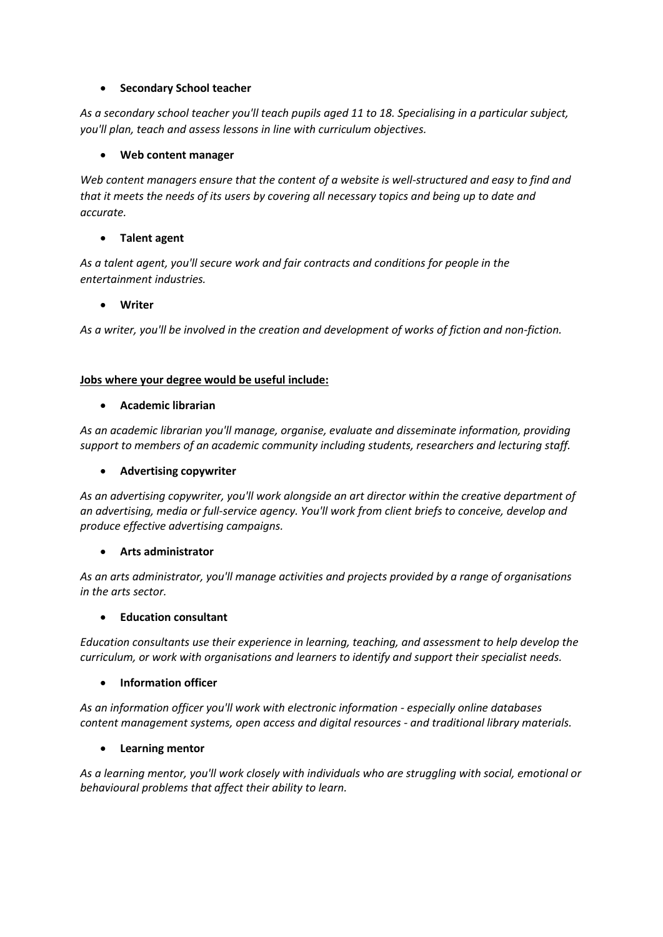# **•** Secondary School teacher

*As a secondary school teacher you'll teach pupils aged 11 to 18. Specialising in a particular subject, you'll plan, teach and assess lessons in line with curriculum objectives.*

# **Web content manager**

Web content managers ensure that the content of a website is well-structured and easy to find and *that it meets the needs of its users by covering all necessary topics and being up to date and accurate.*

# **Talent agent**

*As a talent agent, you'll secure work and fair contracts and conditions for people in the entertainment industries.*

# **Writer**

*As a writer, you'll be involved in the creation and development of works of fiction and non-fiction.*

# **Jobs where your degree would be useful include:**

### **Academic librarian**

*As an academic librarian you'll manage, organise, evaluate and disseminate information, providing support to members of an academic community including students, researchers and lecturing staff.*

## **Advertising copywriter**

*As an advertising copywriter, you'll work alongside an art director within the creative department of an advertising, media or full-service agency. You'll work from client briefs to conceive, develop and produce effective advertising campaigns.*

# **Arts administrator**

*As an arts administrator, you'll manage activities and projects provided by a range of organisations in the arts sector.*

# **Education consultant**

*Education consultants use their experience in learning, teaching, and assessment to help develop the curriculum, or work with organisations and learners to identify and support their specialist needs.*

# **Information officer**

*As an information officer you'll work with electronic information - especially online databases content management systems, open access and digital resources - and traditional library materials.*

# **Learning mentor**

*As a learning mentor, you'll work closely with individuals who are struggling with social, emotional or behavioural problems that affect their ability to learn.*